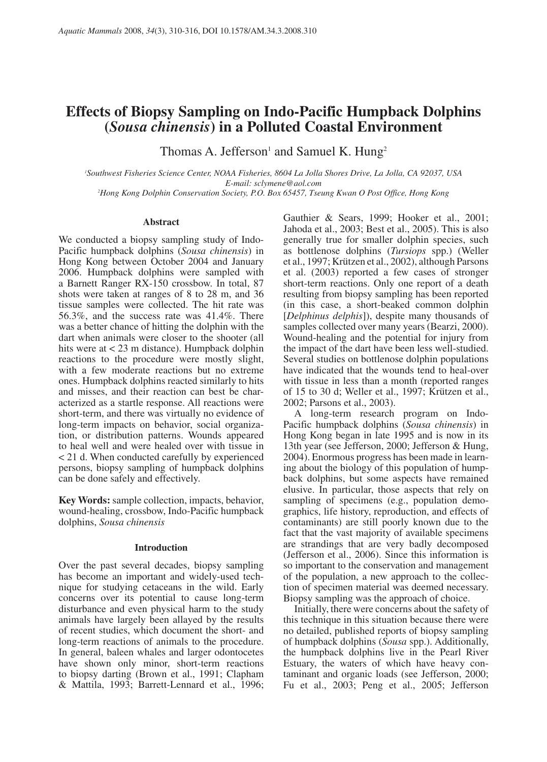# **Effects of Biopsy Sampling on Indo-Pacific Humpback Dolphins (***Sousa chinensis***) in a Polluted Coastal Environment**

Thomas A. Jefferson<sup>1</sup> and Samuel K. Hung<sup>2</sup>

*1 Southwest Fisheries Science Center, NOAA Fisheries, 8604 La Jolla Shores Drive, La Jolla, CA 92037, USA E-mail: sclymene@aol.com*

*2 Hong Kong Dolphin Conservation Society, P.O. Box 65457, Tseung Kwan O Post Office, Hong Kong*

#### **Abstract**

We conducted a biopsy sampling study of Indo-Pacific humpback dolphins (*Sousa chinensis*) in Hong Kong between October 2004 and January 2006. Humpback dolphins were sampled with a Barnett Ranger RX-150 crossbow. In total, 87 shots were taken at ranges of 8 to 28 m, and 36 tissue samples were collected. The hit rate was 56.3%, and the success rate was 41.4%. There was a better chance of hitting the dolphin with the dart when animals were closer to the shooter (all hits were at < 23 m distance). Humpback dolphin reactions to the procedure were mostly slight, with a few moderate reactions but no extreme ones. Humpback dolphins reacted similarly to hits and misses, and their reaction can best be characterized as a startle response. All reactions were short-term, and there was virtually no evidence of long-term impacts on behavior, social organization, or distribution patterns. Wounds appeared to heal well and were healed over with tissue in < 21 d. When conducted carefully by experienced persons, biopsy sampling of humpback dolphins can be done safely and effectively.

**Key Words:** sample collection, impacts, behavior, wound-healing, crossbow, Indo-Pacific humpback dolphins, *Sousa chinensis*

#### **Introduction**

Over the past several decades, biopsy sampling has become an important and widely-used technique for studying cetaceans in the wild. Early concerns over its potential to cause long-term disturbance and even physical harm to the study animals have largely been allayed by the results of recent studies, which document the short- and long-term reactions of animals to the procedure. In general, baleen whales and larger odontocetes have shown only minor, short-term reactions to biopsy darting (Brown et al., 1991; Clapham & Mattila, 1993; Barrett-Lennard et al., 1996;

Gauthier & Sears, 1999; Hooker et al., 2001; Jahoda et al., 2003; Best et al., 2005). This is also generally true for smaller dolphin species, such as bottlenose dolphins (*Tursiops* spp.) (Weller et al., 1997; Krützen et al., 2002), although Parsons et al. (2003) reported a few cases of stronger short-term reactions. Only one report of a death resulting from biopsy sampling has been reported (in this case, a short-beaked common dolphin [*Delphinus delphis*]), despite many thousands of samples collected over many years (Bearzi, 2000). Wound-healing and the potential for injury from the impact of the dart have been less well-studied. Several studies on bottlenose dolphin populations have indicated that the wounds tend to heal-over with tissue in less than a month (reported ranges of 15 to 30 d; Weller et al., 1997; Krützen et al., 2002; Parsons et al., 2003).

A long-term research program on Indo-Pacific humpback dolphins (*Sousa chinensis*) in Hong Kong began in late 1995 and is now in its 13th year (see Jefferson, 2000; Jefferson & Hung, 2004). Enormous progress has been made in learning about the biology of this population of humpback dolphins, but some aspects have remained elusive. In particular, those aspects that rely on sampling of specimens (e.g., population demographics, life history, reproduction, and effects of contaminants) are still poorly known due to the fact that the vast majority of available specimens are strandings that are very badly decomposed (Jefferson et al., 2006). Since this information is so important to the conservation and management of the population, a new approach to the collection of specimen material was deemed necessary. Biopsy sampling was the approach of choice.

Initially, there were concerns about the safety of this technique in this situation because there were no detailed, published reports of biopsy sampling of humpback dolphins (*Sousa* spp.). Additionally, the humpback dolphins live in the Pearl River Estuary, the waters of which have heavy contaminant and organic loads (see Jefferson, 2000; Fu et al., 2003; Peng et al., 2005; Jefferson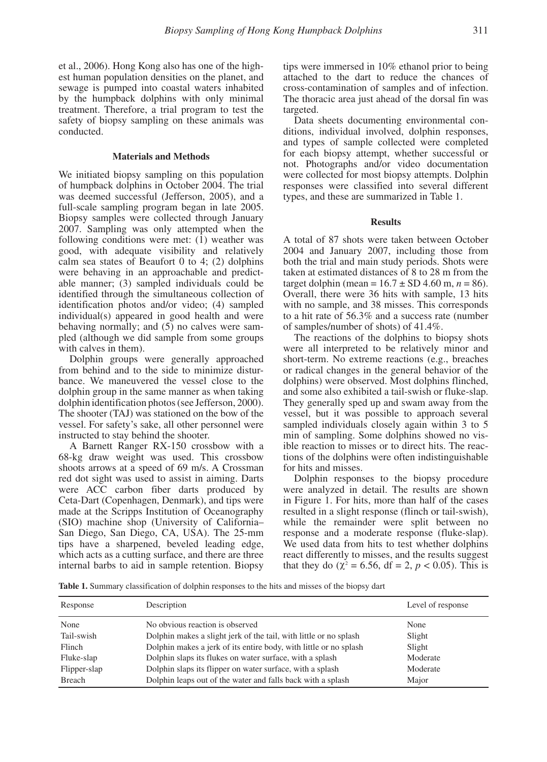et al., 2006). Hong Kong also has one of the highest human population densities on the planet, and sewage is pumped into coastal waters inhabited by the humpback dolphins with only minimal treatment. Therefore, a trial program to test the safety of biopsy sampling on these animals was conducted.

#### **Materials and Methods**

We initiated biopsy sampling on this population of humpback dolphins in October 2004. The trial was deemed successful (Jefferson, 2005), and a full-scale sampling program began in late 2005. Biopsy samples were collected through January 2007. Sampling was only attempted when the following conditions were met: (1) weather was good, with adequate visibility and relatively calm sea states of Beaufort  $0$  to  $4$ ;  $(2)$  dolphins were behaving in an approachable and predictable manner; (3) sampled individuals could be identified through the simultaneous collection of identification photos and/or video; (4) sampled individual(s) appeared in good health and were behaving normally; and (5) no calves were sampled (although we did sample from some groups with calves in them).

Dolphin groups were generally approached from behind and to the side to minimize disturbance. We maneuvered the vessel close to the dolphin group in the same manner as when taking dolphin identification photos (see Jefferson, 2000). The shooter (TAJ) was stationed on the bow of the vessel. For safety's sake, all other personnel were instructed to stay behind the shooter.

A Barnett Ranger RX-150 crossbow with a 68-kg draw weight was used. This crossbow shoots arrows at a speed of 69 m/s. A Crossman red dot sight was used to assist in aiming. Darts were ACC carbon fiber darts produced by Ceta-Dart (Copenhagen, Denmark), and tips were made at the Scripps Institution of Oceanography (SIO) machine shop (University of California– San Diego, San Diego, CA, USA). The 25-mm tips have a sharpened, beveled leading edge, which acts as a cutting surface, and there are three internal barbs to aid in sample retention. Biopsy

tips were immersed in 10% ethanol prior to being attached to the dart to reduce the chances of cross-contamination of samples and of infection. The thoracic area just ahead of the dorsal fin was targeted.

Data sheets documenting environmental conditions, individual involved, dolphin responses, and types of sample collected were completed for each biopsy attempt, whether successful or not. Photographs and/or video documentation were collected for most biopsy attempts. Dolphin responses were classified into several different types, and these are summarized in Table 1.

### **Results**

A total of 87 shots were taken between October 2004 and January 2007, including those from both the trial and main study periods. Shots were taken at estimated distances of 8 to 28 m from the target dolphin (mean =  $16.7 \pm SD$  4.60 m,  $n = 86$ ). Overall, there were 36 hits with sample, 13 hits with no sample, and 38 misses. This corresponds to a hit rate of 56.3% and a success rate (number of samples/number of shots) of 41.4%.

The reactions of the dolphins to biopsy shots were all interpreted to be relatively minor and short-term. No extreme reactions (e.g., breaches or radical changes in the general behavior of the dolphins) were observed. Most dolphins flinched, and some also exhibited a tail-swish or fluke-slap. They generally sped up and swam away from the vessel, but it was possible to approach several sampled individuals closely again within 3 to 5 min of sampling. Some dolphins showed no visible reaction to misses or to direct hits. The reactions of the dolphins were often indistinguishable for hits and misses.

Dolphin responses to the biopsy procedure were analyzed in detail. The results are shown in Figure 1. For hits, more than half of the cases resulted in a slight response (flinch or tail-swish), while the remainder were split between no response and a moderate response (fluke-slap). We used data from hits to test whether dolphins react differently to misses, and the results suggest that they do ( $\chi^2 = 6.56$ , df = 2, *p* < 0.05). This is

**Table 1.** Summary classification of dolphin responses to the hits and misses of the biopsy dart

| Response      | Description                                                       | Level of response |
|---------------|-------------------------------------------------------------------|-------------------|
| None          | No obvious reaction is observed                                   | None              |
| Tail-swish    | Dolphin makes a slight jerk of the tail, with little or no splash | Slight            |
| Flinch        | Dolphin makes a jerk of its entire body, with little or no splash | Slight            |
| Fluke-slap    | Dolphin slaps its flukes on water surface, with a splash          | Moderate          |
| Flipper-slap  | Dolphin slaps its flipper on water surface, with a splash         | Moderate          |
| <b>Breach</b> | Dolphin leaps out of the water and falls back with a splash       | Major             |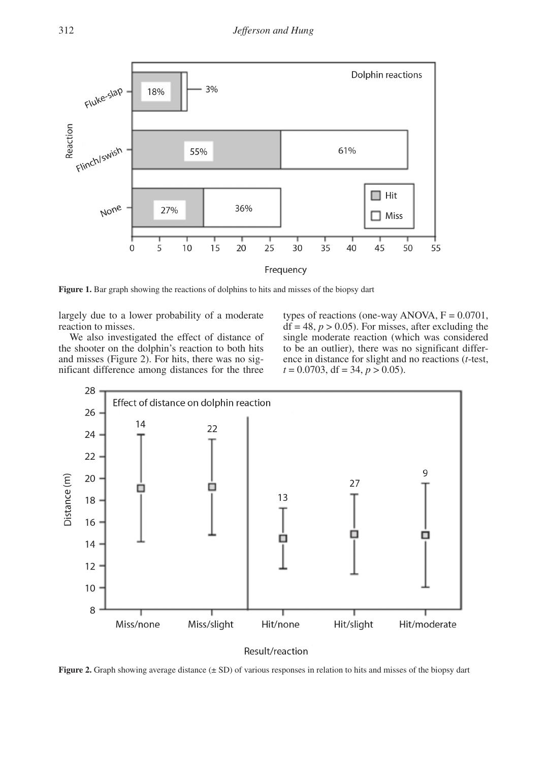

Frequency

**Figure 1.** Bar graph showing the reactions of dolphins to hits and misses of the biopsy dart

largely due to a lower probability of a moderate reaction to misses.

We also investigated the effect of distance of the shooter on the dolphin's reaction to both hits and misses (Figure 2). For hits, there was no significant difference among distances for the three

types of reactions (one-way ANOVA,  $F = 0.0701$ ,  $df = 48$ ,  $p > 0.05$ ). For misses, after excluding the single moderate reaction (which was considered to be an outlier), there was no significant difference in distance for slight and no reactions (*t*-test,  $t = 0.0703$ , df = 34,  $p > 0.05$ ).



## Result/reaction

**Figure 2.** Graph showing average distance ( $\pm$  SD) of various responses in relation to hits and misses of the biopsy dart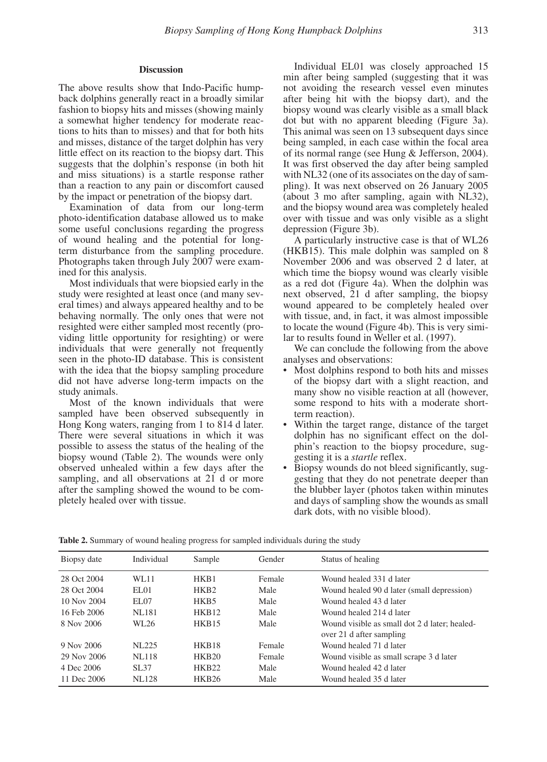#### **Discussion**

The above results show that Indo-Pacific humpback dolphins generally react in a broadly similar fashion to biopsy hits and misses (showing mainly a somewhat higher tendency for moderate reactions to hits than to misses) and that for both hits and misses, distance of the target dolphin has very little effect on its reaction to the biopsy dart. This suggests that the dolphin's response (in both hit and miss situations) is a startle response rather than a reaction to any pain or discomfort caused by the impact or penetration of the biopsy dart.

Examination of data from our long-term photo-identification database allowed us to make some useful conclusions regarding the progress of wound healing and the potential for longterm disturbance from the sampling procedure. Photographs taken through July 2007 were examined for this analysis.

Most individuals that were biopsied early in the study were resighted at least once (and many several times) and always appeared healthy and to be behaving normally. The only ones that were not resighted were either sampled most recently (providing little opportunity for resighting) or were individuals that were generally not frequently seen in the photo-ID database. This is consistent with the idea that the biopsy sampling procedure did not have adverse long-term impacts on the study animals.

Most of the known individuals that were sampled have been observed subsequently in Hong Kong waters, ranging from 1 to 814 d later. There were several situations in which it was possible to assess the status of the healing of the biopsy wound (Table 2). The wounds were only observed unhealed within a few days after the sampling, and all observations at 21 d or more after the sampling showed the wound to be completely healed over with tissue.

Individual EL01 was closely approached 15 min after being sampled (suggesting that it was not avoiding the research vessel even minutes after being hit with the biopsy dart), and the biopsy wound was clearly visible as a small black dot but with no apparent bleeding (Figure 3a). This animal was seen on 13 subsequent days since being sampled, in each case within the focal area of its normal range (see Hung & Jefferson, 2004). It was first observed the day after being sampled with NL32 (one of its associates on the day of sampling). It was next observed on 26 January 2005 (about 3 mo after sampling, again with NL32), and the biopsy wound area was completely healed over with tissue and was only visible as a slight depression (Figure 3b).

A particularly instructive case is that of WL26 (HKB15). This male dolphin was sampled on 8 November 2006 and was observed 2 d later, at which time the biopsy wound was clearly visible as a red dot (Figure 4a). When the dolphin was next observed, 21 d after sampling, the biopsy wound appeared to be completely healed over with tissue, and, in fact, it was almost impossible to locate the wound (Figure 4b). This is very similar to results found in Weller et al. (1997).

We can conclude the following from the above analyses and observations:

- Most dolphins respond to both hits and misses of the biopsy dart with a slight reaction, and many show no visible reaction at all (however, some respond to hits with a moderate shortterm reaction).
- Within the target range, distance of the target dolphin has no significant effect on the dolphin's reaction to the biopsy procedure, suggesting it is a *startle* reflex.
- Biopsy wounds do not bleed significantly, suggesting that they do not penetrate deeper than the blubber layer (photos taken within minutes and days of sampling show the wounds as small dark dots, with no visible blood).

| Biopsy date | Individual | Sample            | Gender | Status of healing                             |
|-------------|------------|-------------------|--------|-----------------------------------------------|
| 28 Oct 2004 | WL11       | HKB1              | Female | Wound healed 331 d later                      |
| 28 Oct 2004 | EL01       | HKB <sub>2</sub>  | Male   | Wound healed 90 d later (small depression)    |
| 10 Nov 2004 | EL07       | HKB5              | Male   | Wound healed 43 d later                       |
| 16 Feb 2006 | NL181      | HKB <sub>12</sub> | Male   | Wound healed 214 d later                      |
| 8 Nov 2006  | WL26       | <b>HKB15</b>      | Male   | Wound visible as small dot 2 d later; healed- |
|             |            |                   |        | over 21 d after sampling                      |
| 9 Nov 2006  | NL225      | HKB <sub>18</sub> | Female | Wound healed 71 d later                       |
| 29 Nov 2006 | NL118      | <b>HKB20</b>      | Female | Wound visible as small scrape 3 d later       |
| 4 Dec 2006  | SL37       | <b>HKB22</b>      | Male   | Wound healed 42 d later                       |
| 11 Dec 2006 | NL128      | HKB26             | Male   | Wound healed 35 d later                       |

**Table 2.** Summary of wound healing progress for sampled individuals during the study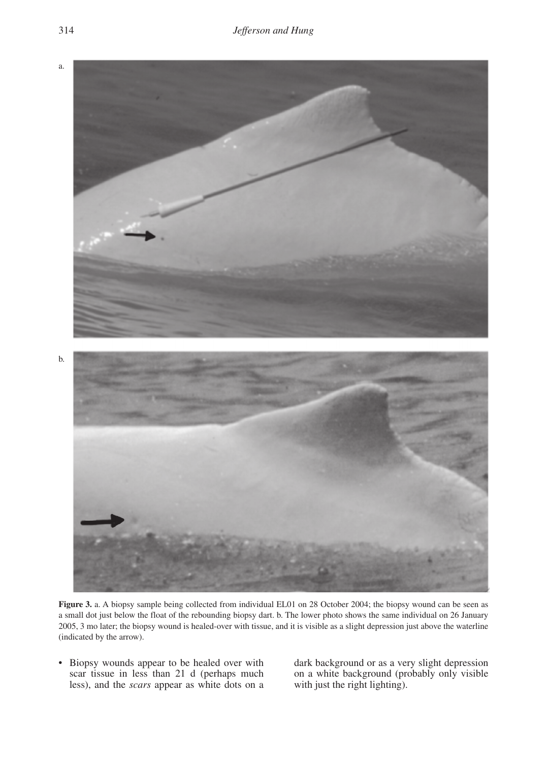

**Figure 3.** a. A biopsy sample being collected from individual EL01 on 28 October 2004; the biopsy wound can be seen as a small dot just below the float of the rebounding biopsy dart. b. The lower photo shows the same individual on 26 January 2005, 3 mo later; the biopsy wound is healed-over with tissue, and it is visible as a slight depression just above the waterline (indicated by the arrow).

• Biopsy wounds appear to be healed over with scar tissue in less than 21 d (perhaps much less), and the *scars* appear as white dots on a dark background or as a very slight depression on a white background (probably only visible with just the right lighting).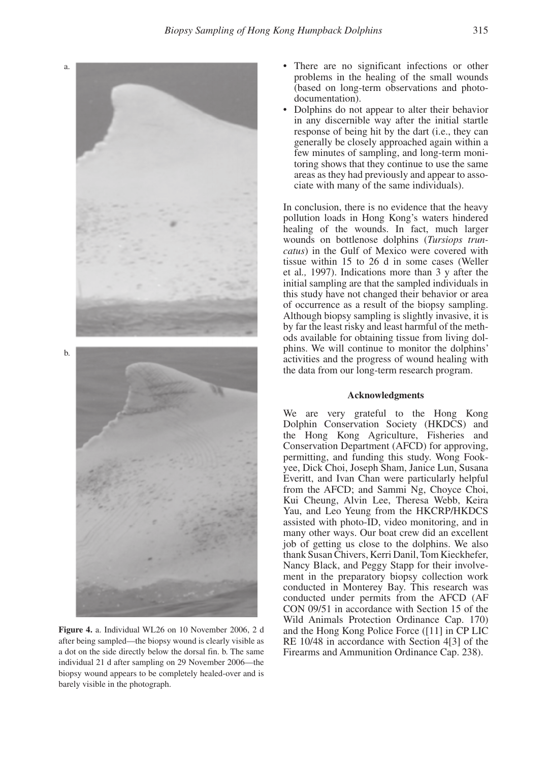

**Figure 4.** a. Individual WL26 on 10 November 2006, 2 d after being sampled—the biopsy wound is clearly visible as a dot on the side directly below the dorsal fin. b. The same individual 21 d after sampling on 29 November 2006—the biopsy wound appears to be completely healed-over and is barely visible in the photograph.

- There are no significant infections or other problems in the healing of the small wounds (based on long-term observations and photodocumentation).
- Dolphins do not appear to alter their behavior in any discernible way after the initial startle response of being hit by the dart (i.e., they can generally be closely approached again within a few minutes of sampling, and long-term monitoring shows that they continue to use the same areas as they had previously and appear to associate with many of the same individuals).

In conclusion, there is no evidence that the heavy pollution loads in Hong Kong's waters hindered healing of the wounds. In fact, much larger wounds on bottlenose dolphins (*Tursiops truncatus*) in the Gulf of Mexico were covered with tissue within 15 to 26 d in some cases (Weller et al*.,* 1997). Indications more than 3 y after the initial sampling are that the sampled individuals in this study have not changed their behavior or area of occurrence as a result of the biopsy sampling. Although biopsy sampling is slightly invasive, it is by far the least risky and least harmful of the methods available for obtaining tissue from living dolphins. We will continue to monitor the dolphins' activities and the progress of wound healing with the data from our long-term research program.

#### **Acknowledgments**

We are very grateful to the Hong Kong Dolphin Conservation Society (HKDCS) and the Hong Kong Agriculture, Fisheries and Conservation Department (AFCD) for approving, permitting, and funding this study. Wong Fookyee, Dick Choi, Joseph Sham, Janice Lun, Susana Everitt, and Ivan Chan were particularly helpful from the AFCD; and Sammi Ng, Choyce Choi, Kui Cheung, Alvin Lee, Theresa Webb, Keira Yau, and Leo Yeung from the HKCRP/HKDCS assisted with photo-ID, video monitoring, and in many other ways. Our boat crew did an excellent job of getting us close to the dolphins. We also thank Susan Chivers, Kerri Danil, Tom Kieckhefer, Nancy Black, and Peggy Stapp for their involvement in the preparatory biopsy collection work conducted in Monterey Bay. This research was conducted under permits from the AFCD (AF CON 09/51 in accordance with Section 15 of the Wild Animals Protection Ordinance Cap. 170) and the Hong Kong Police Force ([11] in CP LIC RE 10/48 in accordance with Section 4[3] of the Firearms and Ammunition Ordinance Cap. 238).